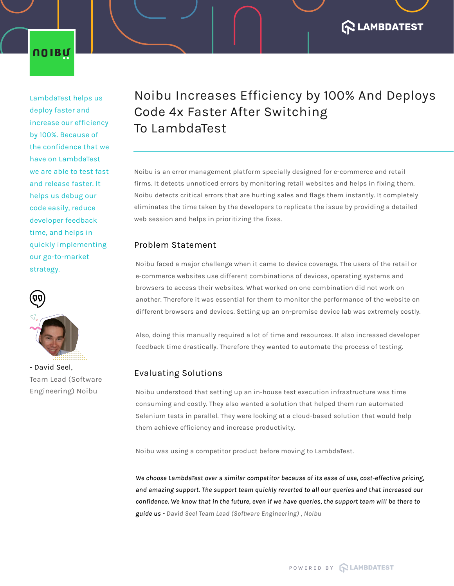

LambdaTest helps us deploy faster and increase our efficiency by 100%. Because of the confidence that we have on LambdaTest we are able to test fast and release faster. It helps us debug our code easily, reduce developer feedback time, and helps in quickly implementing our go-to-market strategy.



- David Seel, Team Lead (Software Engineering) Noibu

# Noibu Increases Efficiency by 100% And Deploys Code 4x Faster After Switching To LambdaTest

Noibu is an error management platform specially designed for e-commerce and retail firms. It detects unnoticed errors by monitoring retail websites and helps in fixing them. Noibu detects critical errors that are hurting sales and flags them instantly. It completely eliminates the time taken by the developers to replicate the issue by providing a detailed web session and helps in prioritizing the fixes.

#### Problem Statement

Noibu faced a major challenge when it came to device coverage. The users of the retail or e-commerce websites use different combinations of devices, operating systems and browsers to access their websites. What worked on one combination did not work on another. Therefore it was essential for them to monitor the performance of the website on different browsers and devices. Setting up an on-premise device lab was extremely costly.

Also, doing this manually required a lot of time and resources. It also increased developer feedback time drastically. Therefore they wanted to automate the process of testing.

### Evaluating Solutions

Noibu understood that setting up an in-house test execution infrastructure was time consuming and costly. They also wanted a solution that helped them run automated Selenium tests in parallel. They were looking at a cloud-based solution that would help them achieve efficiency and increase productivity.

Noibu was using a competitor product before moving to LambdaTest.

*We choose LambdaTest over a similar competitor because of its ease of use, cost-effective pricing, and amazing support. The support team quickly reverted to all our queries and that increased our confidence. We know that in the future, even if we have queries, the support team will be there to guide us - David Seel Team Lead (Software Engineering) , Noibu*